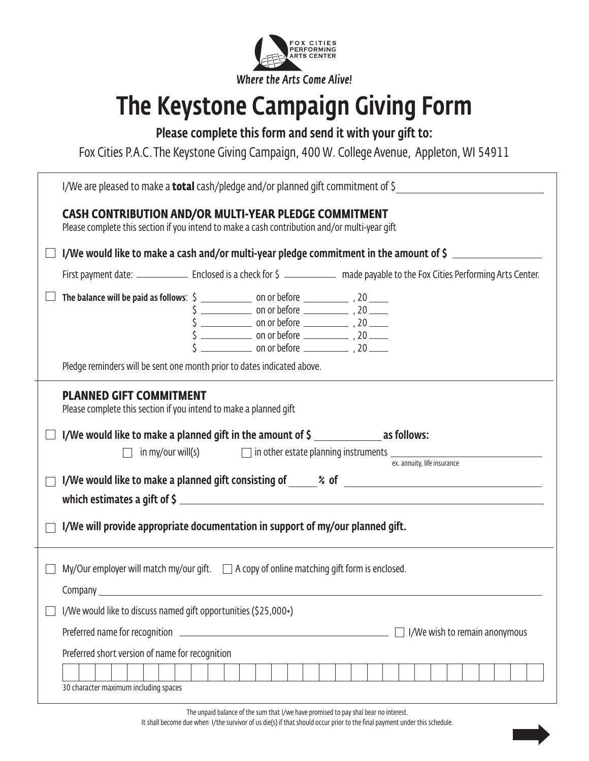

# The Keystone Campaign Giving Form

Please complete this form and send it with your gift to:

Fox Cities P.A.C. The Keystone Giving Campaign, 400 W. College Avenue, Appleton, WI 54911

| I/We are pleased to make a <b>total</b> cash/pledge and/or planned gift commitment of $\zeta$                                                                 |  |                                                                                                                                                                       |  |  |  |  |  |  |  |  |  |
|---------------------------------------------------------------------------------------------------------------------------------------------------------------|--|-----------------------------------------------------------------------------------------------------------------------------------------------------------------------|--|--|--|--|--|--|--|--|--|
| <b>CASH CONTRIBUTION AND/OR MULTI-YEAR PLEDGE COMMITMENT</b><br>Please complete this section if you intend to make a cash contribution and/or multi-year gift |  |                                                                                                                                                                       |  |  |  |  |  |  |  |  |  |
| I/We would like to make a cash and/or multi-year pledge commitment in the amount of $\zeta$                                                                   |  |                                                                                                                                                                       |  |  |  |  |  |  |  |  |  |
| First payment date: ______________________ Enclosed is a check for \$ _________________ made payable to the Fox Cities Performing Arts Center.                |  |                                                                                                                                                                       |  |  |  |  |  |  |  |  |  |
|                                                                                                                                                               |  | $\begin{array}{r} \n\begin{array}{r}\n\text{S} \\ \hline\n\end{array}$ on or before $\begin{array}{r} \boxed{\phantom{0}} \\ \text{on or before} \\ \end{array}$ , 20 |  |  |  |  |  |  |  |  |  |
| Pledge reminders will be sent one month prior to dates indicated above.                                                                                       |  |                                                                                                                                                                       |  |  |  |  |  |  |  |  |  |
| <b>PLANNED GIFT COMMITMENT</b><br>Please complete this section if you intend to make a planned gift                                                           |  |                                                                                                                                                                       |  |  |  |  |  |  |  |  |  |
| I/We would like to make a planned gift in the amount of \$                                                                                                    |  |                                                                                                                                                                       |  |  |  |  |  |  |  |  |  |
| $\ln$ my/our will(s) $\Box$ in other estate planning instruments<br>ex. annuity, life insurance                                                               |  |                                                                                                                                                                       |  |  |  |  |  |  |  |  |  |
|                                                                                                                                                               |  |                                                                                                                                                                       |  |  |  |  |  |  |  |  |  |
|                                                                                                                                                               |  |                                                                                                                                                                       |  |  |  |  |  |  |  |  |  |
| I/We will provide appropriate documentation in support of my/our planned gift.                                                                                |  |                                                                                                                                                                       |  |  |  |  |  |  |  |  |  |
| My/Our employer will match my/our gift. $\Box$ A copy of online matching gift form is enclosed.<br>Company                                                    |  |                                                                                                                                                                       |  |  |  |  |  |  |  |  |  |
| I/We would like to discuss named gift opportunities (\$25,000+)                                                                                               |  |                                                                                                                                                                       |  |  |  |  |  |  |  |  |  |
| Preferred name for recognition<br>I/We wish to remain anonymous                                                                                               |  |                                                                                                                                                                       |  |  |  |  |  |  |  |  |  |
| Preferred short version of name for recognition                                                                                                               |  |                                                                                                                                                                       |  |  |  |  |  |  |  |  |  |
| 30 character maximum including spaces                                                                                                                         |  |                                                                                                                                                                       |  |  |  |  |  |  |  |  |  |

The unpaid balance of the sum that I/we have promised to pay shal bear no interest.

It shall become due when I/the survivor of us die(s) if that should occur prior to the final payment under this schedule.